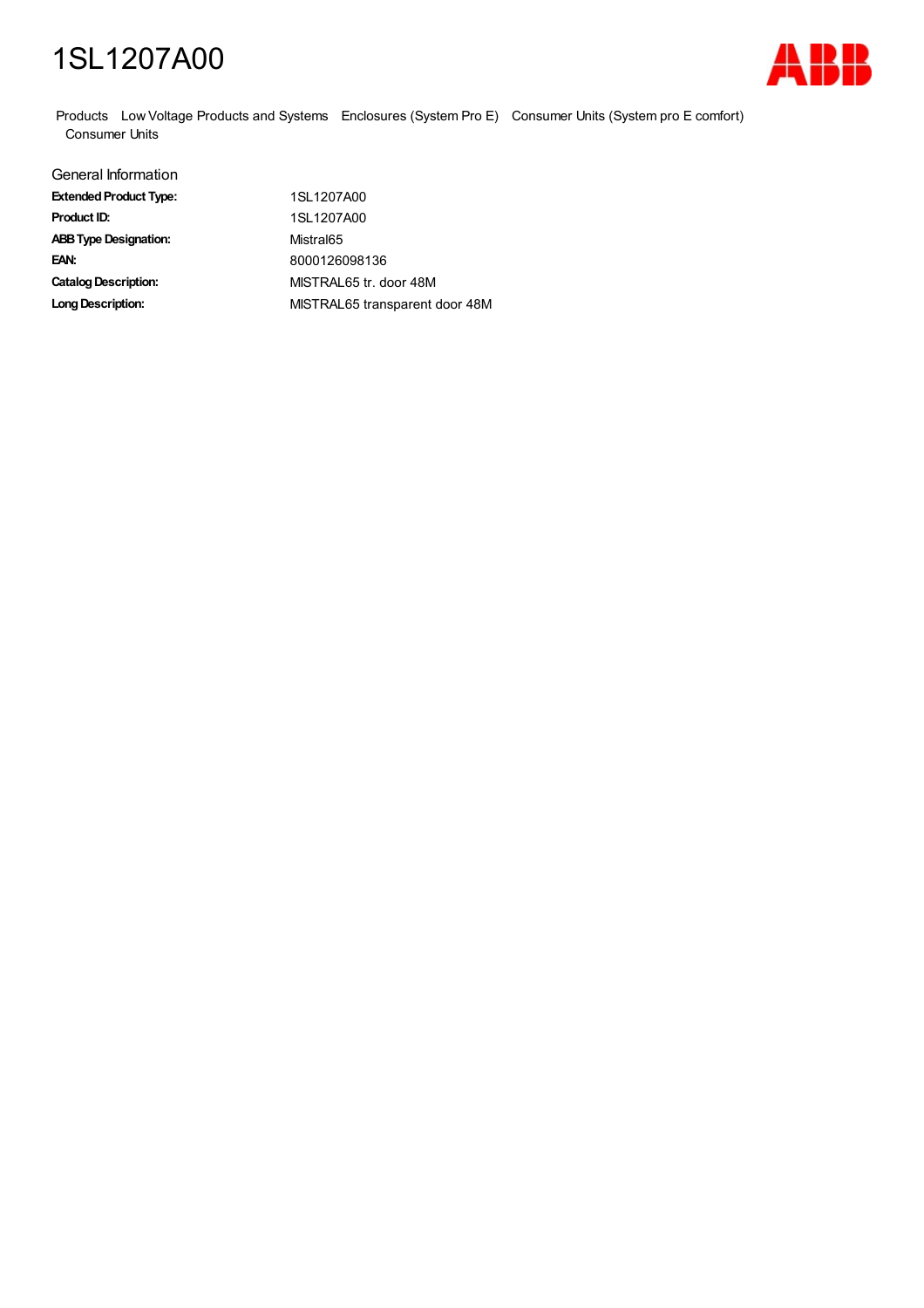## 1SL1207A00



Products Low Voltage Products and Systems Enclosures (System Pro E) Consumer Units (System pro E comfort) Consumer Units

| General Information           |                                |
|-------------------------------|--------------------------------|
| <b>Extended Product Type:</b> | 1SL1207A00                     |
| Product ID:                   | 1SL1207A00                     |
| <b>ABB Type Designation:</b>  | Mistral65                      |
| EAN:                          | 8000126098136                  |
| <b>Catalog Description:</b>   | MISTRAL65 tr. door 48M         |
| <b>Long Description:</b>      | MISTRAL65 transparent door 48M |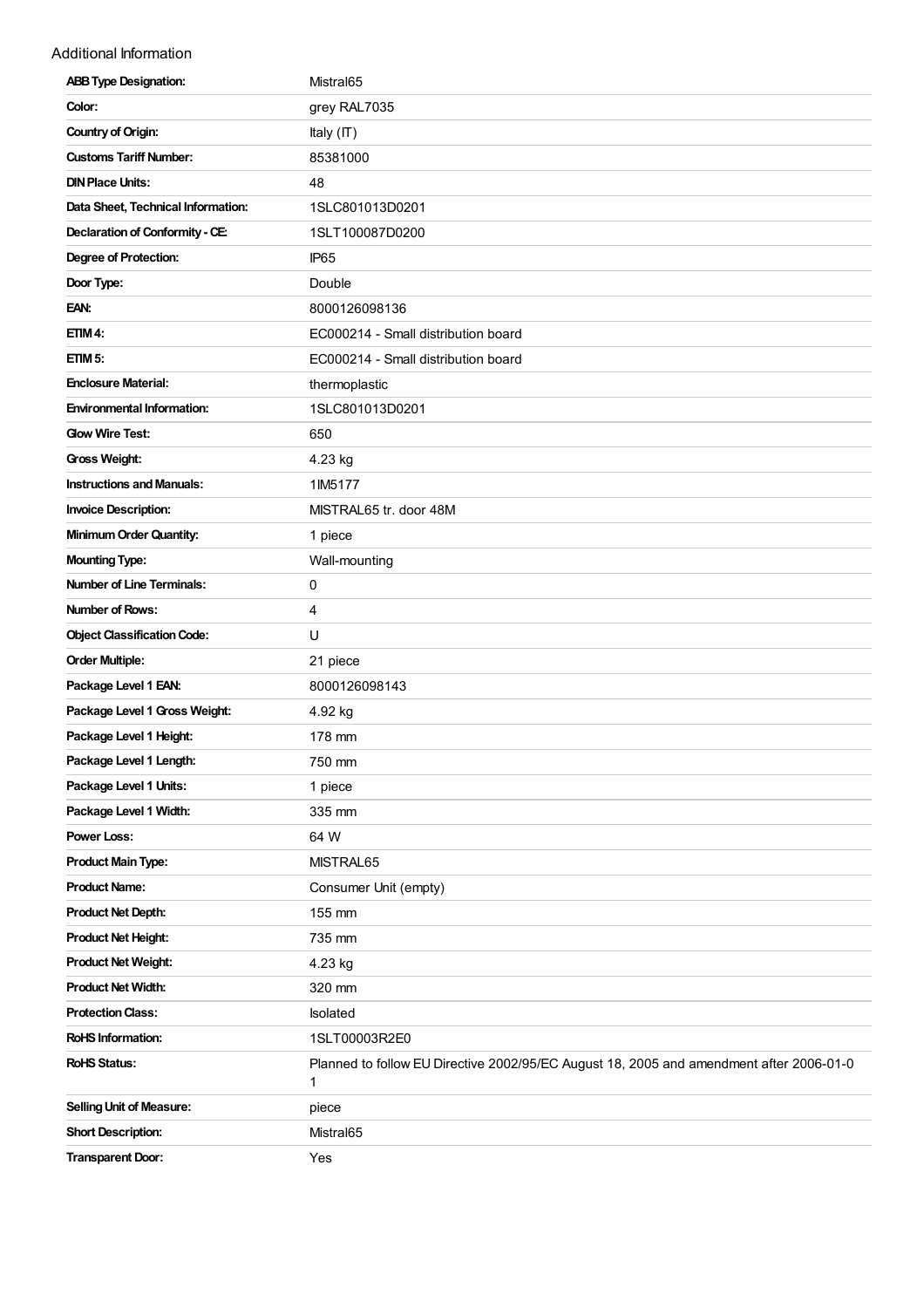## Additional Information

| <b>ABB Type Designation:</b>       | Mistral <sub>65</sub>                                                                        |
|------------------------------------|----------------------------------------------------------------------------------------------|
| Color:                             | grey RAL7035                                                                                 |
| <b>Country of Origin:</b>          | Italy (IT)                                                                                   |
| <b>Customs Tariff Number:</b>      | 85381000                                                                                     |
| <b>DIN Place Units:</b>            | 48                                                                                           |
| Data Sheet, Technical Information: | 1SLC801013D0201                                                                              |
| Declaration of Conformity - CE:    | 1SLT100087D0200                                                                              |
| <b>Degree of Protection:</b>       | IP <sub>65</sub>                                                                             |
| Door Type:                         | Double                                                                                       |
| EAN:                               | 8000126098136                                                                                |
| ETIM 4:                            | EC000214 - Small distribution board                                                          |
| ETIM <sub>5</sub> :                | EC000214 - Small distribution board                                                          |
| <b>Enclosure Material:</b>         | thermoplastic                                                                                |
| <b>Environmental Information:</b>  | 1SLC801013D0201                                                                              |
| <b>Glow Wire Test:</b>             | 650                                                                                          |
| Gross Weight:                      | 4.23 kg                                                                                      |
| <b>Instructions and Manuals:</b>   | 1IM5177                                                                                      |
| <b>Invoice Description:</b>        | MISTRAL65 tr. door 48M                                                                       |
| <b>Minimum Order Quantity:</b>     | 1 piece                                                                                      |
| <b>Mounting Type:</b>              | Wall-mounting                                                                                |
| <b>Number of Line Terminals:</b>   | 0                                                                                            |
| <b>Number of Rows:</b>             | 4                                                                                            |
| <b>Object Classification Code:</b> | U                                                                                            |
| <b>Order Multiple:</b>             | 21 piece                                                                                     |
| Package Level 1 EAN:               | 8000126098143                                                                                |
| Package Level 1 Gross Weight:      | 4.92 kg                                                                                      |
| Package Level 1 Height:            | 178 mm                                                                                       |
| Package Level 1 Length:            | 750 mm                                                                                       |
| Package Level 1 Units:             | 1 piece                                                                                      |
| Package Level 1 Width:             | 335 mm                                                                                       |
| <b>Power Loss:</b>                 | 64 W                                                                                         |
| <b>Product Main Type:</b>          | MISTRAL65                                                                                    |
| <b>Product Name:</b>               | Consumer Unit (empty)                                                                        |
| <b>Product Net Depth:</b>          | 155 mm                                                                                       |
| <b>Product Net Height:</b>         | 735 mm                                                                                       |
| <b>Product Net Weight:</b>         | 4.23 kg                                                                                      |
| <b>Product Net Width:</b>          | 320 mm                                                                                       |
| <b>Protection Class:</b>           | Isolated                                                                                     |
| <b>RoHS Information:</b>           | 1SLT00003R2E0                                                                                |
| <b>RoHS Status:</b>                | Planned to follow EU Directive 2002/95/EC August 18, 2005 and amendment after 2006-01-0<br>1 |
| <b>Selling Unit of Measure:</b>    | piece                                                                                        |
| <b>Short Description:</b>          | Mistral65                                                                                    |
| <b>Transparent Door:</b>           | Yes                                                                                          |